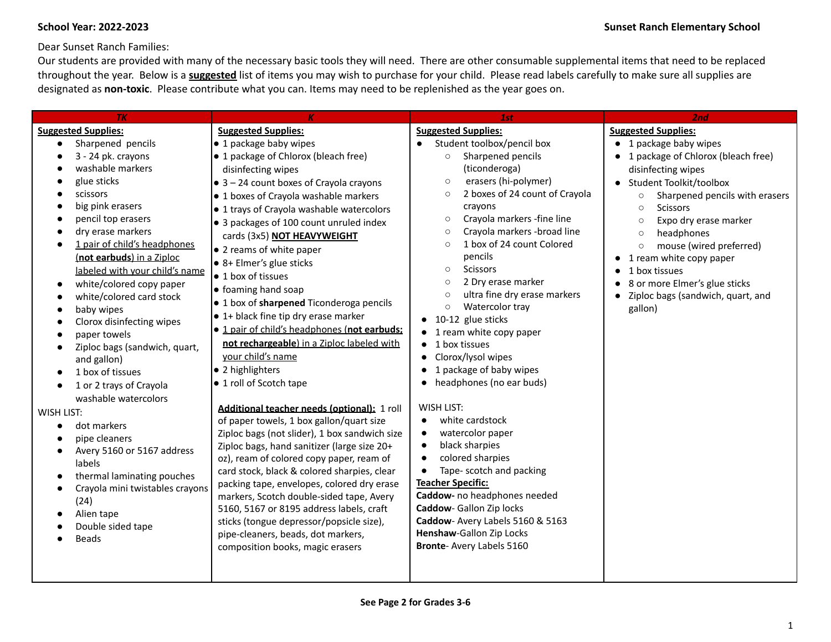Dear Sunset Ranch Families:

Our students are provided with many of the necessary basic tools they will need. There are other consumable supplemental items that need to be replaced throughout the year. Below is a **suggested** list of items you may wish to purchase for your child. Please read labels carefully to make sure all supplies are designated as **non-toxic**. Please contribute what you can. Items may need to be replenished as the year goes on.

| TK                                                                                                                                                                                                                                                                                                                                                                                                                                     |                                                                                                                                                                                                                                                                                                                                                                                                                                                                                                                                                                                                                              | 1st                                                                                                                                                                                                                                                                                                                                                                                                                                                                                                                                                                                | 2nd                                                                                                                                                                                                                                                                                                                                                                                                                                                        |
|----------------------------------------------------------------------------------------------------------------------------------------------------------------------------------------------------------------------------------------------------------------------------------------------------------------------------------------------------------------------------------------------------------------------------------------|------------------------------------------------------------------------------------------------------------------------------------------------------------------------------------------------------------------------------------------------------------------------------------------------------------------------------------------------------------------------------------------------------------------------------------------------------------------------------------------------------------------------------------------------------------------------------------------------------------------------------|------------------------------------------------------------------------------------------------------------------------------------------------------------------------------------------------------------------------------------------------------------------------------------------------------------------------------------------------------------------------------------------------------------------------------------------------------------------------------------------------------------------------------------------------------------------------------------|------------------------------------------------------------------------------------------------------------------------------------------------------------------------------------------------------------------------------------------------------------------------------------------------------------------------------------------------------------------------------------------------------------------------------------------------------------|
| <b>Suggested Supplies:</b><br>Sharpened pencils<br>3 - 24 pk. crayons<br>washable markers<br>glue sticks<br>scissors<br>big pink erasers<br>pencil top erasers<br>dry erase markers<br>1 pair of child's headphones<br>(not earbuds) in a Ziploc<br>labeled with your child's name<br>white/colored copy paper<br>white/colored card stock<br>baby wipes<br>Clorox disinfecting wipes<br>paper towels<br>Ziploc bags (sandwich, quart, | <b>Suggested Supplies:</b><br>• 1 package baby wipes<br>• 1 package of Chlorox (bleach free)<br>disinfecting wipes<br>$\bullet$ 3 - 24 count boxes of Crayola crayons<br>• 1 boxes of Crayola washable markers<br>• 1 trays of Crayola washable watercolors<br>• 3 packages of 100 count unruled index<br>cards (3x5) NOT HEAVYWEIGHT<br>• 2 reams of white paper<br>• 8+ Elmer's glue sticks<br>• 1 box of tissues<br>• foaming hand soap<br>• 1 box of sharpened Ticonderoga pencils<br>• 1+ black fine tip dry erase marker<br>· 1 pair of child's headphones (not earbuds:<br>not rechargeable) in a Ziploc labeled with | <b>Suggested Supplies:</b><br>Student toolbox/pencil box<br>Sharpened pencils<br>$\circ$<br>(ticonderoga)<br>erasers (hi-polymer)<br>$\circ$<br>2 boxes of 24 count of Crayola<br>$\circ$<br>crayons<br>Crayola markers -fine line<br>$\circ$<br>Crayola markers - broad line<br>$\circ$<br>1 box of 24 count Colored<br>$\circ$<br>pencils<br><b>Scissors</b><br>$\circ$<br>2 Dry erase marker<br>$\circ$<br>ultra fine dry erase markers<br>$\circ$<br>Watercolor tray<br>$\circ$<br>$\bullet$ 10-12 glue sticks<br>$\bullet$ 1 ream white copy paper<br>$\bullet$ 1 box tissues | <b>Suggested Supplies:</b><br>• 1 package baby wipes<br>• 1 package of Chlorox (bleach free)<br>disinfecting wipes<br>• Student Toolkit/toolbox<br>Sharpened pencils with erasers<br>$\circ$<br><b>Scissors</b><br>$\circ$<br>Expo dry erase marker<br>$\circ$<br>headphones<br>$\circ$<br>mouse (wired preferred)<br>$\circ$<br>1 ream white copy paper<br>1 box tissues<br>8 or more Elmer's glue sticks<br>Ziploc bags (sandwich, quart, and<br>gallon) |
| and gallon)<br>· 2 highlighters<br>1 box of tissues<br>• 1 roll of Scotch tape<br>1 or 2 trays of Crayola<br>washable watercolors<br><b>WISH LIST:</b><br>dot markers<br>pipe cleaners<br>Avery 5160 or 5167 address<br>labels<br>thermal laminating pouches<br>Crayola mini twistables crayons<br>(24)<br>Alien tape<br>Double sided tape<br>pipe-cleaners, beads, dot markers,<br><b>Beads</b><br>composition books, magic erasers   | vour child's name<br>Additional teacher needs (optional): 1 roll<br>of paper towels, 1 box gallon/quart size<br>Ziploc bags (not slider), 1 box sandwich size<br>Ziploc bags, hand sanitizer (large size 20+<br>oz), ream of colored copy paper, ream of<br>card stock, black & colored sharpies, clear<br>packing tape, envelopes, colored dry erase<br>markers, Scotch double-sided tape, Avery<br>5160, 5167 or 8195 address labels, craft<br>sticks (tongue depressor/popsicle size),                                                                                                                                    | Clorox/lysol wipes<br>1 package of baby wipes<br>headphones (no ear buds)<br>WISH LIST:<br>white cardstock<br>watercolor paper<br>black sharpies<br>colored sharpies<br>Tape- scotch and packing<br><b>Teacher Specific:</b><br>Caddow- no headphones needed<br>Caddow-Gallon Zip locks<br>Caddow- Avery Labels 5160 & 5163<br>Henshaw-Gallon Zip Locks<br>Bronte- Avery Labels 5160                                                                                                                                                                                               |                                                                                                                                                                                                                                                                                                                                                                                                                                                            |